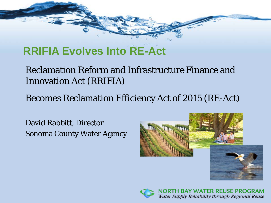# **RRIFIA Evolves Into RE-Act**

#### Reclamation Reform and Infrastructure Finance and Innovation Act (RRIFIA)

Becomes Reclamation Efficiency Act of 2015 (RE-Act)

David Rabbitt, Director Sonoma County Water Agency



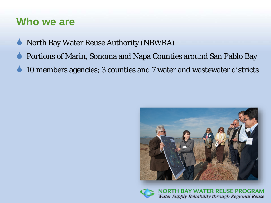#### **Who we are**

- North Bay Water Reuse Authority (NBWRA)
- Portions of Marin, Sonoma and Napa Counties around San Pablo Bay
- 10 members agencies; 3 counties and 7 water and wastewater districts



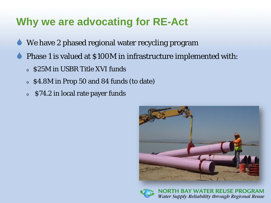#### **Why we are advocating for RE-Act**

- We have 2 phased regional water recycling program
- Phase 1 is valued at \$100M in infrastructure implemented with:
	- <sup>o</sup> \$25M in USBR Title XVI funds
	- <sup>o</sup> \$4.8M in Prop 50 and 84 funds (to date)
	- <sup>o</sup> \$74.2 in local rate payer funds



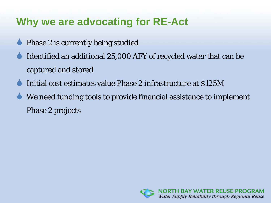## **Why we are advocating for RE-Act**

- Phase 2 is currently being studied
- Identified an additional 25,000 AFY of recycled water that can be captured and stored
- Initial cost estimates value Phase 2 infrastructure at \$125M
- We need funding tools to provide financial assistance to implement Phase 2 projects

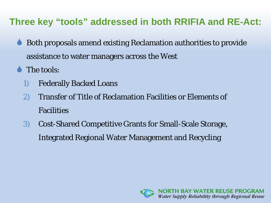#### **Three key "tools" addressed in both RRIFIA and RE-Act:**

- Both proposals amend existing Reclamation authorities to provide assistance to water managers across the West
- The tools:
	- 1) Federally Backed Loans
	- 2) Transfer of Title of Reclamation Facilities or Elements of Facilities
	- 3) Cost-Shared Competitive Grants for Small-Scale Storage, Integrated Regional Water Management and Recycling

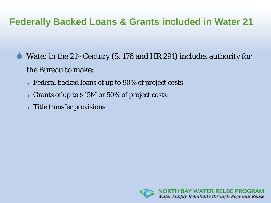#### **Federally Backed Loans & Grants included in Water 21**

- Water in the 21st Century (S. 176 and HR 291) includes authority for the Bureau to make:
	- <sup>o</sup> Federal backed loans of up to 90% of project costs
	- <sup>o</sup> Grants of up to \$15M or 50% of project costs
	- <sup>o</sup> Title transfer provisions

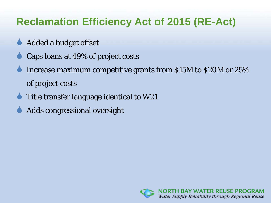# **Reclamation Efficiency Act of 2015 (RE-Act)**

- Added a budget offset
- Caps loans at 49% of project costs
- Increase maximum competitive grants from \$15M to \$20M or 25% of project costs
- Title transfer language identical to W21
- Adds congressional oversight

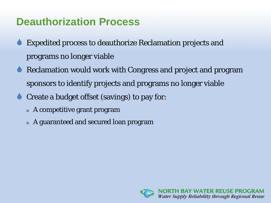#### **Deauthorization Process**

- Expedited process to deauthorize Reclamation projects and programs no longer viable
- Reclamation would work with Congress and project and program sponsors to identify projects and programs no longer viable
- Create a budget offset (savings) to pay for:
	- <sup>o</sup> A competitive grant program
	- <sup>o</sup> A guaranteed and secured loan program

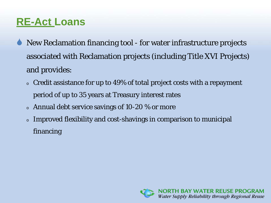# **RE-Act Loans**

- New Reclamation financing tool for water infrastructure projects associated with Reclamation projects (including Title XVI Projects) and provides:
	- <sup>o</sup> Credit assistance for up to 49% of total project costs with a repayment period of up to 35 years at Treasury interest rates
	- $\circ$  Annual debt service savings of 10-20 % or more
	- <sup>o</sup> Improved flexibility and cost-shavings in comparison to municipal financing

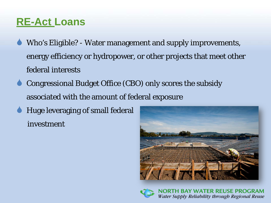## **RE-Act Loans**

- Who's Eligible? Water management and supply improvements, energy efficiency or hydropower, or other projects that meet other federal interests
- Congressional Budget Office (CBO) only scores the subsidy associated with the amount of federal exposure
- Huge leveraging of small federal investment



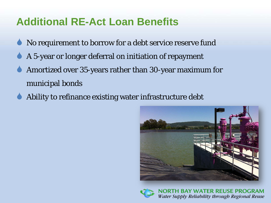## **Additional RE-Act Loan Benefits**

- No requirement to borrow for a debt service reserve fund
- A 5-year or longer deferral on initiation of repayment
- Amortized over 35-years rather than 30-year maximum for municipal bonds
- Ability to refinance existing water infrastructure debt



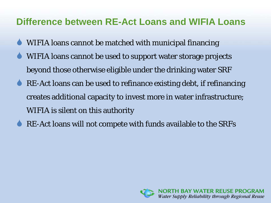#### **Difference between RE-Act Loans and WIFIA Loans**

- WIFIA loans cannot be matched with municipal financing
- WIFIA loans cannot be used to support water storage projects beyond those otherwise eligible under the drinking water SRF
- RE-Act loans can be used to refinance existing debt, if refinancing creates additional capacity to invest more in water infrastructure; WIFIA is silent on this authority
- RE-Act loans will not compete with funds available to the SRFs

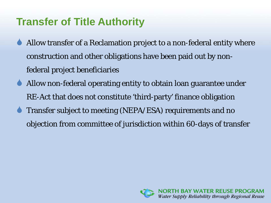# **Transfer of Title Authority**

- Allow transfer of a Reclamation project to a non-federal entity where construction and other obligations have been paid out by nonfederal project beneficiaries
- Allow non-federal operating entity to obtain loan guarantee under RE-Act that does not constitute 'third-party' finance obligation
- Transfer subject to meeting (NEPA/ESA) requirements and no objection from committee of jurisdiction within 60-days of transfer

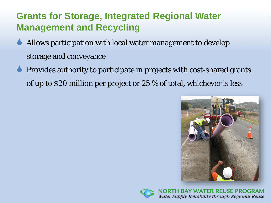#### **Grants for Storage, Integrated Regional Water Management and Recycling**

- Allows participation with local water management to develop storage and conveyance
- Provides authority to participate in projects with cost-shared grants of up to \$20 million per project or 25 % of total, whichever is less



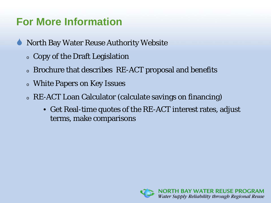## **For More Information**

- North Bay Water Reuse Authority Website
	- <sup>o</sup> Copy of the Draft Legislation
	- <sup>o</sup> Brochure that describes RE-ACT proposal and benefits
	- <sup>o</sup> White Papers on Key Issues
	- <sup>o</sup> RE-ACT Loan Calculator (calculate savings on financing)
		- Get Real-time quotes of the RE-ACT interest rates, adjust terms, make comparisons